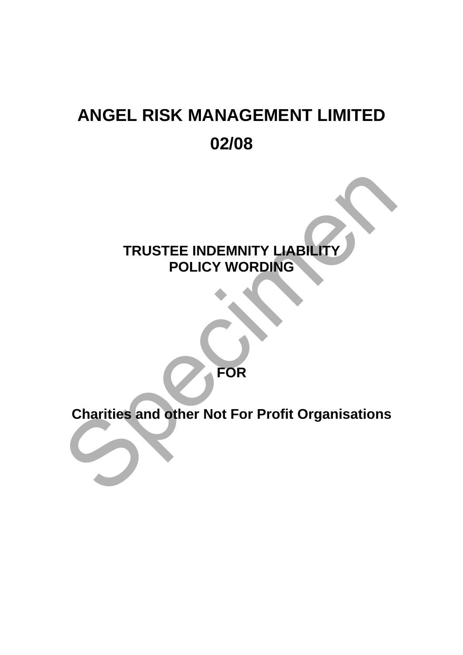# **ANGEL RISK MANAGEMENT LIMITED 02/08**

# **TRUSTEE INDEMNITY LIABILITY POLICY WORDING**  TRUSTEE INDEMNITY LIABILITY<br>POLICY WORDING<br>Charities and other Not For Profit Organisations

**FOR** 

**Charities and other Not For Profit Organisations**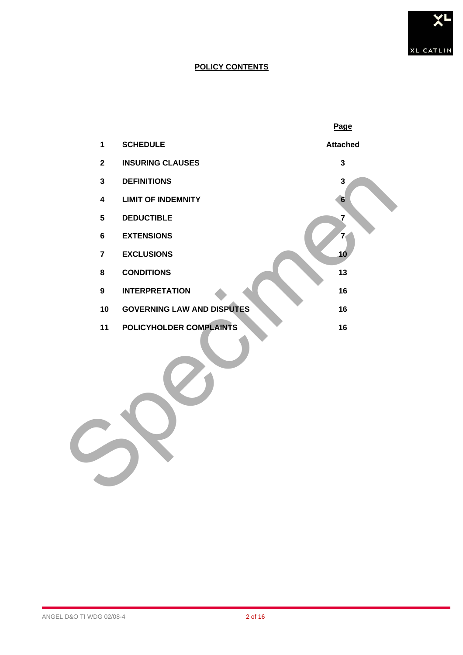

# **POLICY CONTENTS**

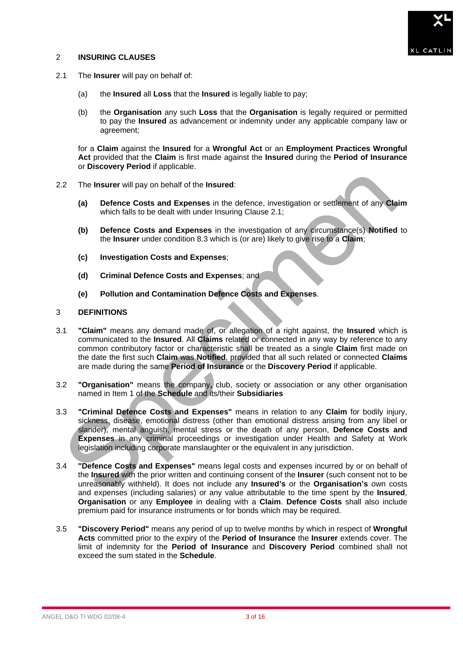# 2 **INSURING CLAUSES**



- 2.1 The **Insurer** will pay on behalf of:
	- (a) the **Insured** all **Loss** that the **Insured** is legally liable to pay;
	- (b) the **Organisation** any such **Loss** that the **Organisation** is legally required or permitted to pay the **Insured** as advancement or indemnity under any applicable company law or agreement;

for a **Claim** against the **Insured** for a **Wrongful Act** or an **Employment Practices Wrongful Act** provided that the **Claim** is first made against the **Insured** during the **Period of Insurance** or **Discovery Period** if applicable.

- 2.2 The **Insurer** will pay on behalf of the **Insured**:
	- **(a) Defence Costs and Expenses** in the defence, investigation or settlement of any **Claim** which falls to be dealt with under Insuring Clause 2.1;
	- **(b) Defence Costs and Expenses** in the investigation of any circumstance(s) **Notified** to the **Insurer** under condition 8.3 which is (or are) likely to give rise to a **Claim**;
	- **(c) Investigation Costs and Expenses**;
	- **(d) Criminal Defence Costs and Expenses**; and
	- **(e) Pollution and Contamination Defence Costs and Expenses**.

# 3 **DEFINITIONS**

- 3.1 **"Claim"** means any demand made of, or allegation of a right against, the **Insured** which is communicated to the **Insured**. All **Claims** related or connected in any way by reference to any common contributory factor or characteristic shall be treated as a single **Claim** first made on the date the first such **Claim** was **Notified**, provided that all such related or connected **Claims** are made during the same **Period of Insurance** or the **Discovery Period** if applicable. 2 The Insurer will pay on behalf of the Insured:<br>
(a) Defence Costs and Expenses in the defence, investigation or settlement of any Cla<br>
which falls to be dealt with under Insuring Clause 2.1;<br>
(b) Defence Costs and Expens
- 3.2 **"Organisation"** means the company**,** club, society or association or any other organisation named in Item 1 of the **Schedule** and its/their **Subsidiaries**
- 3.3 **"Criminal Defence Costs and Expenses"** means in relation to any **Claim** for bodily injury, sickness, disease, emotional distress (other than emotional distress arising from any libel or slander), mental anguish, mental stress or the death of any person, **Defence Costs and Expenses** in any criminal proceedings or investigation under Health and Safety at Work legislation including corporate manslaughter or the equivalent in any jurisdiction.
- 3.4 **"Defence Costs and Expenses"** means legal costs and expenses incurred by or on behalf of the **Insured** with the prior written and continuing consent of the **Insurer** (such consent not to be unreasonably withheld). It does not include any **Insured's** or the **Organisation's** own costs and expenses (including salaries) or any value attributable to the time spent by the **Insured**, **Organisation** or any **Employee** in dealing with a **Claim**. **Defence Costs** shall also include premium paid for insurance instruments or for bonds which may be required.
- 3.5 **"Discovery Period"** means any period of up to twelve months by which in respect of **Wrongful Acts** committed prior to the expiry of the **Period of Insurance** the **Insurer** extends cover. The limit of indemnity for the **Period of Insurance** and **Discovery Period** combined shall not exceed the sum stated in the **Schedule**.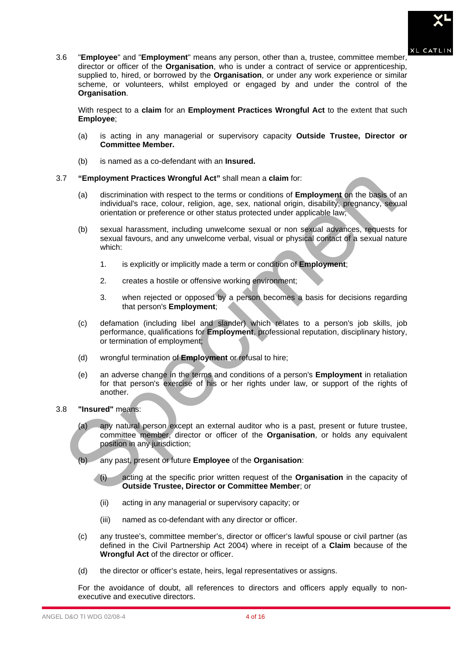

3.6 "**Employee**" and "**Employment**" means any person, other than a, trustee, committee member, director or officer of the **Organisation**, who is under a contract of service or apprenticeship, supplied to, hired, or borrowed by the **Organisation**, or under any work experience or similar scheme, or volunteers, whilst employed or engaged by and under the control of the **Organisation**.

With respect to a **claim** for an **Employment Practices Wrongful Act** to the extent that such **Employee**;

- (a) is acting in any managerial or supervisory capacity **Outside Trustee, Director or Committee Member.**
- (b) is named as a co-defendant with an **Insured.**
- 3.7 **"Employment Practices Wrongful Act"** shall mean a **claim** for:
	- (a) discrimination with respect to the terms or conditions of **Employment** on the basis of an individual's race, colour, religion, age, sex, national origin, disability, pregnancy, sexual orientation or preference or other status protected under applicable law;
	- (b) sexual harassment, including unwelcome sexual or non sexual advances, requests for sexual favours, and any unwelcome verbal, visual or physical contact of a sexual nature which:
		- 1. is explicitly or implicitly made a term or condition of **Employment**;
		- 2. creates a hostile or offensive working environment;
		- 3. when rejected or opposed by a person becomes a basis for decisions regarding that person's **Employment**;
	- (c) defamation (including libel and slander) which relates to a person's job skills, job performance, qualifications for **Employment**, professional reputation, disciplinary history, or termination of employment;
	- (d) wrongful termination of **Employment** or refusal to hire;
- (e) an adverse change in the terms and conditions of a person's **Employment** in retaliation for that person's exercise of his or her rights under law, or support of the rights of another. The interior of the termination with respect to the termination with the specific interior interior interior interior of the termination or preference or other status protected under applicable law-<br>individuals race, colou
- 3.8 **"Insured"** means:
	- (a) any natural person except an external auditor who is a past, present or future trustee, committee member, director or officer of the **Organisation**, or holds any equivalent position in any jurisdiction;
	- (b) any past, present or future **Employee** of the **Organisation**:
		- (i) acting at the specific prior written request of the **Organisation** in the capacity of **Outside Trustee, Director or Committee Member**; or
		- (ii) acting in any managerial or supervisory capacity; or
		- (iii) named as co-defendant with any director or officer.
	- (c) any trustee's, committee member's, director or officer's lawful spouse or civil partner (as defined in the Civil Partnership Act 2004) where in receipt of a **Claim** because of the **Wrongful Act** of the director or officer.
	- (d) the director or officer's estate, heirs, legal representatives or assigns.

For the avoidance of doubt, all references to directors and officers apply equally to nonexecutive and executive directors.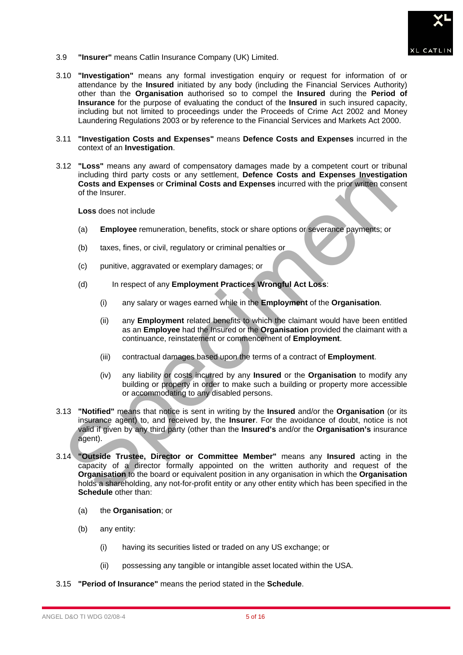

- 3.9 **"Insurer"** means Catlin Insurance Company (UK) Limited.
- 3.10 **"Investigation"** means any formal investigation enquiry or request for information of or attendance by the **Insured** initiated by any body (including the Financial Services Authority) other than the **Organisation** authorised so to compel the **Insured** during the **Period of Insurance** for the purpose of evaluating the conduct of the **Insured** in such insured capacity, including but not limited to proceedings under the Proceeds of Crime Act 2002 and Money Laundering Regulations 2003 or by reference to the Financial Services and Markets Act 2000.
- 3.11 **"Investigation Costs and Expenses"** means **Defence Costs and Expenses** incurred in the context of an **Investigation**.
- 3.12 **"Loss"** means any award of compensatory damages made by a competent court or tribunal including third party costs or any settlement, **Defence Costs and Expenses Investigation Costs and Expenses** or **Criminal Costs and Expenses** incurred with the prior written consent of the Insurer.

**Loss** does not include

- (a) **Employee** remuneration, benefits, stock or share options or severance payments; or
- (b) taxes, fines, or civil, regulatory or criminal penalties or
- (c) punitive, aggravated or exemplary damages; or
- (d) In respect of any **Employment Practices Wrongful Act Loss**:
	- (i) any salary or wages earned while in the **Employment** of the **Organisation**.
	- (ii) any **Employment** related benefits to which the claimant would have been entitled as an **Employee** had the Insured or the **Organisation** provided the claimant with a continuance, reinstatement or commencement of **Employment**.
	- (iii) contractual damages based upon the terms of a contract of **Employment**.
	- (iv) any liability or costs incurred by any **Insured** or the **Organisation** to modify any building or property in order to make such a building or property more accessible or accommodating to any disabled persons.
- 3.13 **"Notified"** means that notice is sent in writing by the **Insured** and/or the **Organisation** (or its insurance agent) to, and received by, the **Insurer**. For the avoidance of doubt, notice is not valid if given by any third party (other than the **Insured's** and/or the **Organisation's** insurance agent).
- 3.14 **"Outside Trustee, Director or Committee Member"** means any **Insured** acting in the capacity of a director formally appointed on the written authority and request of the **Organisation** to the board or equivalent position in any organisation in which the **Organisation**  holds a shareholding, any not-for-profit entity or any other entity which has been specified in the **Schedule** other than: including third party costs or any settlement, **Defence Costs and Expenses** or Costs and Expenses or Criminal Costs and Expenses incurred with the prior written conserved with the insurer.<br>
Loss does not include<br>
(a) Emplo
	- (a) the **Organisation**; or
	- (b) any entity:
		- (i) having its securities listed or traded on any US exchange; or
		- (ii) possessing any tangible or intangible asset located within the USA.
- 3.15 **"Period of Insurance"** means the period stated in the **Schedule**.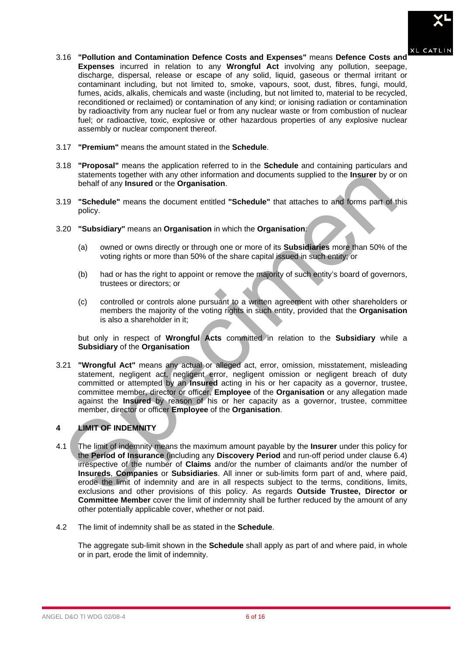

- 3.16 **"Pollution and Contamination Defence Costs and Expenses"** means **Defence Costs and Expenses** incurred in relation to any **Wrongful Act** involving any pollution, seepage, discharge, dispersal, release or escape of any solid, liquid, gaseous or thermal irritant or contaminant including, but not limited to, smoke, vapours, soot, dust, fibres, fungi, mould, fumes, acids, alkalis, chemicals and waste (including, but not limited to, material to be recycled, reconditioned or reclaimed) or contamination of any kind; or ionising radiation or contamination by radioactivity from any nuclear fuel or from any nuclear waste or from combustion of nuclear fuel; or radioactive, toxic, explosive or other hazardous properties of any explosive nuclear assembly or nuclear component thereof.
- 3.17 **"Premium"** means the amount stated in the **Schedule**.
- 3.18 **"Proposal"** means the application referred to in the **Schedule** and containing particulars and statements together with any other information and documents supplied to the **Insurer** by or on behalf of any **Insured** or the **Organisation**.
- 3.19 **"Schedule"** means the document entitled **"Schedule"** that attaches to and forms part of this policy.
- 3.20 **"Subsidiary"** means an **Organisation** in which the **Organisation**:
	- (a) owned or owns directly or through one or more of its **Subsidiaries** more than 50% of the voting rights or more than 50% of the share capital issued in such entity; or
	- (b) had or has the right to appoint or remove the majority of such entity's board of governors, trustees or directors; or
	- (c) controlled or controls alone pursuant to a written agreement with other shareholders or members the majority of the voting rights in such entity, provided that the **Organisation** is also a shareholder in it;

but only in respect of **Wrongful Acts** committed in relation to the **Subsidiary** while a **Subsidiary** of the **Organisation**

3.21 **"Wrongful Act"** means any actual or alleged act, error, omission, misstatement, misleading statement, negligent act, negligent error, negligent omission or negligent breach of duty committed or attempted by an **Insured** acting in his or her capacity as a governor, trustee, committee member, director or officer, **Employee** of the **Organisation** or any allegation made against the **Insured** by reason of his or her capacity as a governor, trustee, committee member, director or officer **Employee** of the **Organisation**.

# **4 LIMIT OF INDEMNITY**

- 4.1 The limit of indemnity means the maximum amount payable by the **Insurer** under this policy for the **Period of Insurance** (including any **Discovery Period** and run-off period under clause 6.4) irrespective of the number of **Claims** and/or the number of claimants and/or the number of **Insureds**, **Companies** or **Subsidiaries**. All inner or sub-limits form part of and, where paid, erode the limit of indemnity and are in all respects subject to the terms, conditions, limits, exclusions and other provisions of this policy. As regards **Outside Trustee, Director or Committee Member** cover the limit of indemnity shall be further reduced by the amount of any other potentially applicable cover, whether or not paid. statements together with any other information and documents supplied to the Insurer by or<br>
behalf of any Insured or the Organisation.<br>
19 "Schedule" means the document entitled "Schedule" that attaches to and forms part o
- 4.2 The limit of indemnity shall be as stated in the **Schedule**.

The aggregate sub-limit shown in the **Schedule** shall apply as part of and where paid, in whole or in part, erode the limit of indemnity.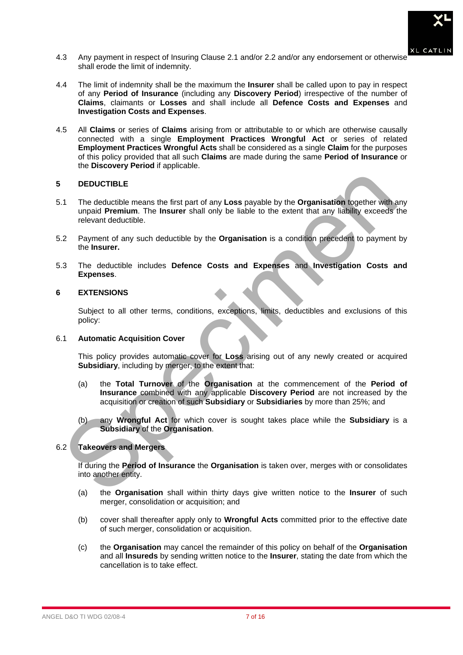

- 4.3 Any payment in respect of Insuring Clause 2.1 and/or 2.2 and/or any endorsement or otherwise shall erode the limit of indemnity.
- 4.4 The limit of indemnity shall be the maximum the **Insurer** shall be called upon to pay in respect of any **Period of Insurance** (including any **Discovery Period**) irrespective of the number of **Claims**, claimants or **Losses** and shall include all **Defence Costs and Expenses** and **Investigation Costs and Expenses**.
- 4.5 All **Claims** or series of **Claims** arising from or attributable to or which are otherwise causally connected with a single **Employment Practices Wrongful Act** or series of related **Employment Practices Wrongful Acts** shall be considered as a single **Claim** for the purposes of this policy provided that all such **Claims** are made during the same **Period of Insurance** or the **Discovery Period** if applicable.

# **5 DEDUCTIBLE**

- 5.1 The deductible means the first part of any **Loss** payable by the **Organisation** together with any unpaid **Premium**. The **Insurer** shall only be liable to the extent that any liability exceeds the relevant deductible. DEDUCTIBLE<br>
1 The deductible means the first part of any Loss payable by the Organisation together with<br>
unpaid Premium. The Insurer shall only be liable to the extent that any liability exceeds<br>
relevant deductible.<br>
Secr
- 5.2 Payment of any such deductible by the **Organisation** is a condition precedent to payment by the **Insurer.**
- 5.3 The deductible includes **Defence Costs and Expenses** and **Investigation Costs and Expenses**.

# **6 EXTENSIONS**

Subject to all other terms, conditions, exceptions, limits, deductibles and exclusions of this policy:

# 6.1 **Automatic Acquisition Cover**

This policy provides automatic cover for **Loss** arising out of any newly created or acquired **Subsidiary**, including by merger, to the extent that:

- (a) the **Total Turnover** of the **Organisation** at the commencement of the **Period of Insurance** combined with any applicable **Discovery Period** are not increased by the acquisition or creation of such **Subsidiary** or **Subsidiaries** by more than 25%; and
- (b) any **Wrongful Act** for which cover is sought takes place while the **Subsidiary** is a **Subsidiary** of the **Organisation**.

# 6.2 **Takeovers and Mergers**

If during the **Period of Insurance** the **Organisation** is taken over, merges with or consolidates into another entity.

- (a) the **Organisation** shall within thirty days give written notice to the **Insurer** of such merger, consolidation or acquisition; and
- (b) cover shall thereafter apply only to **Wrongful Acts** committed prior to the effective date of such merger, consolidation or acquisition.
- (c) the **Organisation** may cancel the remainder of this policy on behalf of the **Organisation** and all **Insureds** by sending written notice to the **Insurer**, stating the date from which the cancellation is to take effect.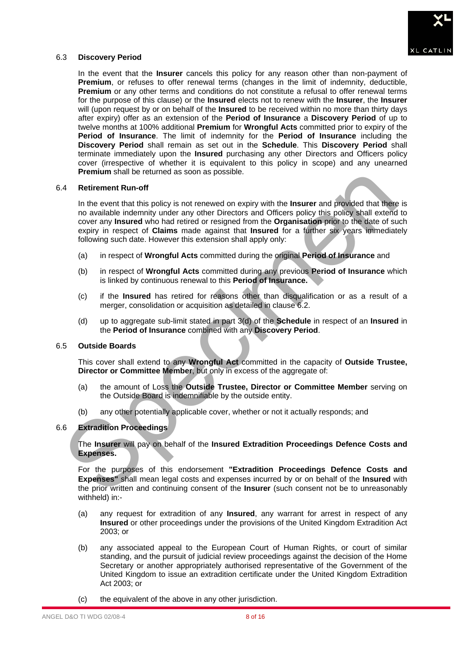

# 6.3 **Discovery Period**

In the event that the **Insurer** cancels this policy for any reason other than non-payment of **Premium**, or refuses to offer renewal terms (changes in the limit of indemnity, deductible, **Premium** or any other terms and conditions do not constitute a refusal to offer renewal terms for the purpose of this clause) or the **Insured** elects not to renew with the **Insurer**, the **Insurer** will (upon request by or on behalf of the **Insured** to be received within no more than thirty days after expiry) offer as an extension of the **Period of Insurance** a **Discovery Period** of up to twelve months at 100% additional **Premium** for **Wrongful Acts** committed prior to expiry of the **Period of Insurance**. The limit of indemnity for the **Period of Insurance** including the **Discovery Period** shall remain as set out in the **Schedule**. This **Discovery Period** shall terminate immediately upon the **Insured** purchasing any other Directors and Officers policy cover (irrespective of whether it is equivalent to this policy in scope) and any unearned **Premium** shall be returned as soon as possible.

# 6.4 **Retirement Run-off**

In the event that this policy is not renewed on expiry with the **Insurer** and provided that there is no available indemnity under any other Directors and Officers policy this policy shall extend to cover any **Insured** who had retired or resigned from the **Organisation** prior to the date of such expiry in respect of **Claims** made against that **Insured** for a further six years immediately following such date. However this extension shall apply only: Fremium shall be returned as soon as possible.<br>
A Retirement Run-off<br>
In the event that this policy is not renewed on expiry with the Insurer and provided that the<br>
In the event that this policy is not renewed on expiry wi

- (a) in respect of **Wrongful Acts** committed during the original **Period of Insurance** and
- (b) in respect of **Wrongful Acts** committed during any previous **Period of Insurance** which is linked by continuous renewal to this **Period of Insurance.**
- (c) if the **Insured** has retired for reasons other than disqualification or as a result of a merger, consolidation or acquisition as detailed in clause 6.2.
- (d) up to aggregate sub-limit stated in part 3(d) of the **Schedule** in respect of an **Insured** in the **Period of Insurance** combined with any **Discovery Period**.

# 6.5 **Outside Boards**

This cover shall extend to any **Wrongful Act** committed in the capacity of **Outside Trustee, Director or Committee Member**, but only in excess of the aggregate of:

- (a) the amount of Loss the **Outside Trustee, Director or Committee Member** serving on the Outside Board is indemnifiable by the outside entity.
- (b) any other potentially applicable cover, whether or not it actually responds; and

# 6.6 **Extradition Proceedings**

The **Insurer** will pay on behalf of the **Insured Extradition Proceedings Defence Costs and Expenses.** 

For the purposes of this endorsement **"Extradition Proceedings Defence Costs and Expenses"** shall mean legal costs and expenses incurred by or on behalf of the **Insured** with the prior written and continuing consent of the **Insurer** (such consent not be to unreasonably withheld) in:-

- (a) any request for extradition of any **Insured**, any warrant for arrest in respect of any **Insured** or other proceedings under the provisions of the United Kingdom Extradition Act 2003; or
- (b) any associated appeal to the European Court of Human Rights, or court of similar standing, and the pursuit of judicial review proceedings against the decision of the Home Secretary or another appropriately authorised representative of the Government of the United Kingdom to issue an extradition certificate under the United Kingdom Extradition Act 2003; or
- (c) the equivalent of the above in any other jurisdiction.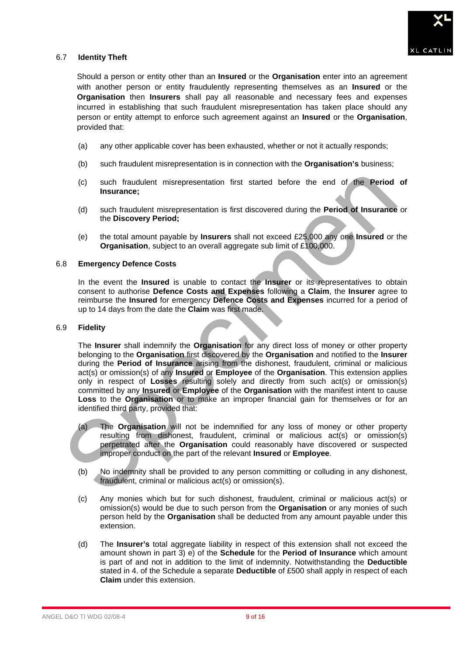

# 6.7 **Identity Theft**

Should a person or entity other than an **Insured** or the **Organisation** enter into an agreement with another person or entity fraudulently representing themselves as an **Insured** or the **Organisation** then **Insurers** shall pay all reasonable and necessary fees and expenses incurred in establishing that such fraudulent misrepresentation has taken place should any person or entity attempt to enforce such agreement against an **Insured** or the **Organisation**, provided that:

- (a) any other applicable cover has been exhausted, whether or not it actually responds;
- (b) such fraudulent misrepresentation is in connection with the **Organisation's** business;
- (c) such fraudulent misrepresentation first started before the end of the **Period of Insurance;**
- (d) such fraudulent misrepresentation is first discovered during the **Period of Insurance** or the **Discovery Period;**
- (e) the total amount payable by **Insurers** shall not exceed £25,000 any one **Insured** or the **Organisation**, subject to an overall aggregate sub limit of £100,000.

# 6.8 **Emergency Defence Costs**

In the event the **Insured** is unable to contact the **Insurer** or its representatives to obtain consent to authorise **Defence Costs and Expenses** following a **Claim**, the **Insurer** agree to reimburse the **Insured** for emergency **Defence Costs and Expenses** incurred for a period of up to 14 days from the date the **Claim** was first made.

#### 6.9 **Fidelity**

The **Insurer** shall indemnify the **Organisation** for any direct loss of money or other property belonging to the **Organisation** first discovered by the **Organisation** and notified to the **Insurer** during the **Period of Insurance** arising from the dishonest, fraudulent, criminal or malicious act(s) or omission(s) of any **Insured** or **Employee** of the **Organisation**. This extension applies only in respect of **Losses** resulting solely and directly from such act(s) or omission(s) committed by any **Insured** or **Employee** of the **Organisation** with the manifest intent to cause **Loss** to the **Organisation** or to make an improper financial gain for themselves or for an identified third party, provided that: (c) such fraudulent misrepresentation first started before the end of the Period<br>
(d) such fraudulent misrepresentation is first discovered during the Period of Insurance<br>
the Discovery Period;<br>
(e) the total amount payab

- (a) The **Organisation** will not be indemnified for any loss of money or other property resulting from dishonest, fraudulent, criminal or malicious act(s) or omission(s) perpetrated after the **Organisation** could reasonably have discovered or suspected improper conduct on the part of the relevant **Insured** or **Employee**.
- (b) No indemnity shall be provided to any person committing or colluding in any dishonest, fraudulent, criminal or malicious act(s) or omission(s).
- (c) Any monies which but for such dishonest, fraudulent, criminal or malicious act(s) or omission(s) would be due to such person from the **Organisation** or any monies of such person held by the **Organisation** shall be deducted from any amount payable under this extension.
- (d) The **Insurer's** total aggregate liability in respect of this extension shall not exceed the amount shown in part 3) e) of the **Schedule** for the **Period of Insurance** which amount is part of and not in addition to the limit of indemnity. Notwithstanding the **Deductible** stated in 4. of the Schedule a separate **Deductible** of £500 shall apply in respect of each **Claim** under this extension.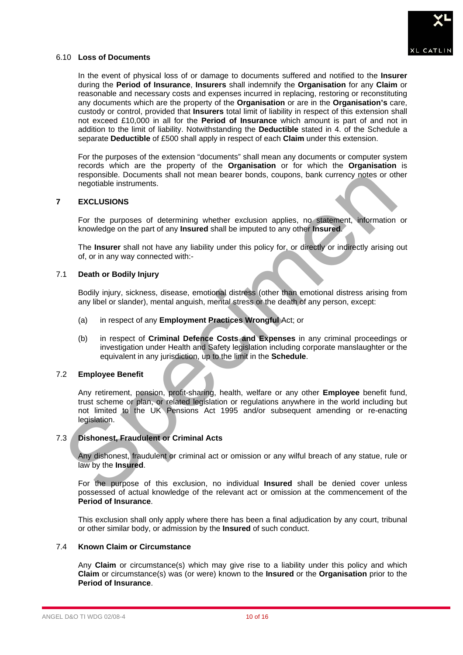

# 6.10 **Loss of Documents**

In the event of physical loss of or damage to documents suffered and notified to the **Insurer** during the **Period of Insurance**, **Insurers** shall indemnify the **Organisation** for any **Claim** or reasonable and necessary costs and expenses incurred in replacing, restoring or reconstituting any documents which are the property of the **Organisation** or are in the **Organisation's** care, custody or control, provided that **Insurers** total limit of liability in respect of this extension shall not exceed £10,000 in all for the **Period of Insurance** which amount is part of and not in addition to the limit of liability. Notwithstanding the **Deductible** stated in 4. of the Schedule a separate **Deductible** of £500 shall apply in respect of each **Claim** under this extension.

For the purposes of the extension "documents" shall mean any documents or computer system records which are the property of the **Organisation** or for which the **Organisation** is responsible. Documents shall not mean bearer bonds, coupons, bank currency notes or other negotiable instruments.

# **7 EXCLUSIONS**

For the purposes of determining whether exclusion applies, no statement, information or knowledge on the part of any **Insured** shall be imputed to any other **Insured**.

The **Insurer** shall not have any liability under this policy for, or directly or indirectly arising out of, or in any way connected with:-

# 7.1 **Death or Bodily Injury**

Bodily injury, sickness, disease, emotional distress (other than emotional distress arising from any libel or slander), mental anguish, mental stress or the death of any person, except:

- (a) in respect of any **Employment Practices Wrongful** Act; or
- (b) in respect of **Criminal Defence Costs and Expenses** in any criminal proceedings or investigation under Health and Safety legislation including corporate manslaughter or the equivalent in any jurisdiction, up to the limit in the **Schedule**.

# 7.2 **Employee Benefit**

Any retirement, pension, profit-sharing, health, welfare or any other **Employee** benefit fund, trust scheme or plan, or related legislation or regulations anywhere in the world including but not limited to the UK Pensions Act 1995 and/or subsequent amending or re-enacting legislation. responsible. Documents shall not mean bearer bonds, coupons, bank currency notes or other<br>specialbe instruments.<br>EXCLUSIONS<br>For the purposes of determining whether exclusion applies, no statement, information<br>knowledge on

# 7.3 **Dishonest, Fraudulent or Criminal Acts**

Any dishonest, fraudulent or criminal act or omission or any wilful breach of any statue, rule or law by the **Insured**.

For the purpose of this exclusion, no individual **Insured** shall be denied cover unless possessed of actual knowledge of the relevant act or omission at the commencement of the **Period of Insurance**.

This exclusion shall only apply where there has been a final adjudication by any court, tribunal or other similar body, or admission by the **Insured** of such conduct.

# 7.4 **Known Claim or Circumstance**

Any **Claim** or circumstance(s) which may give rise to a liability under this policy and which **Claim** or circumstance(s) was (or were) known to the **Insured** or the **Organisation** prior to the **Period of Insurance**.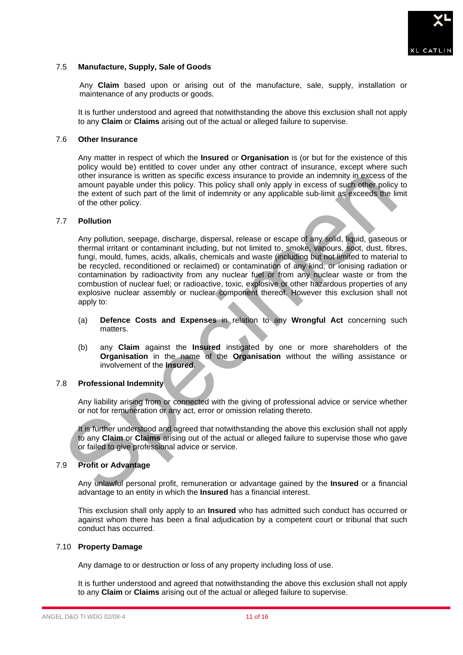

# 7.5 **Manufacture, Supply, Sale of Goods**

Any **Claim** based upon or arising out of the manufacture, sale, supply, installation or maintenance of any products or goods.

It is further understood and agreed that notwithstanding the above this exclusion shall not apply to any **Claim** or **Claims** arising out of the actual or alleged failure to supervise.

#### 7.6 **Other Insurance**

Any matter in respect of which the **Insured** or **Organisation** is (or but for the existence of this policy would be) entitled to cover under any other contract of insurance, except where such other insurance is written as specific excess insurance to provide an indemnity in excess of the amount payable under this policy. This policy shall only apply in excess of such other policy to the extent of such part of the limit of indemnity or any applicable sub-limit as exceeds the limit of the other policy.

# 7.7 **Pollution**

Any pollution, seepage, discharge, dispersal, release or escape of any solid, liquid, gaseous or thermal irritant or contaminant including, but not limited to, smoke, vapours, soot, dust, fibres, fungi, mould, fumes, acids, alkalis, chemicals and waste (including but not limited to material to be recycled, reconditioned or reclaimed) or contamination of any kind; or ionising radiation or contamination by radioactivity from any nuclear fuel or from any nuclear waste or from the combustion of nuclear fuel; or radioactive, toxic, explosive or other hazardous properties of any explosive nuclear assembly or nuclear component thereof. However this exclusion shall not apply to: of the insurance is written as specific excess firsurance to provide an indemnity in excess of such other policy<br>amount payable under this policy. This policy shall only apply in excess of such other policy<br>the extent of s

- (a) **Defence Costs and Expenses** in relation to any **Wrongful Act** concerning such matters.
- (b) any **Claim** against the **Insured** instigated by one or more shareholders of the **Organisation** in the name of the **Organisation** without the willing assistance or involvement of the **Insured**.

# 7.8 **Professional Indemnity**

Any liability arising from or connected with the giving of professional advice or service whether or not for remuneration or any act, error or omission relating thereto.

It is further understood and agreed that notwithstanding the above this exclusion shall not apply to any **Claim** or **Claims** arising out of the actual or alleged failure to supervise those who gave or failed to give professional advice or service.

# 7.9 **Profit or Advantage**

Any unlawful personal profit, remuneration or advantage gained by the **Insured** or a financial advantage to an entity in which the **Insured** has a financial interest.

This exclusion shall only apply to an **Insured** who has admitted such conduct has occurred or against whom there has been a final adjudication by a competent court or tribunal that such conduct has occurred.

#### 7.10 **Property Damage**

Any damage to or destruction or loss of any property including loss of use.

It is further understood and agreed that notwithstanding the above this exclusion shall not apply to any **Claim** or **Claims** arising out of the actual or alleged failure to supervise.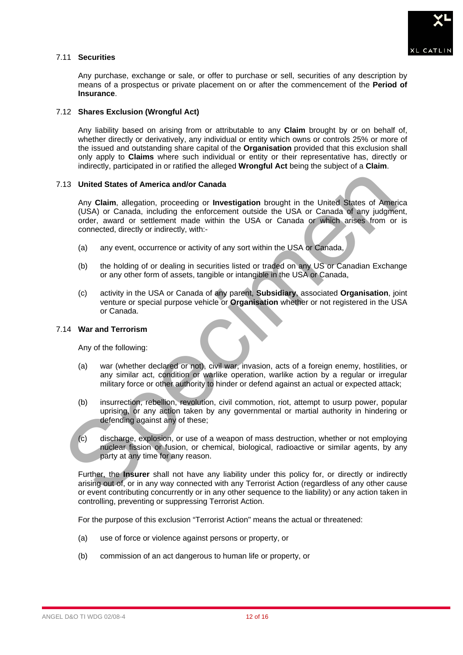

# 7.11 **Securities**

Any purchase, exchange or sale, or offer to purchase or sell, securities of any description by means of a prospectus or private placement on or after the commencement of the **Period of Insurance**.

# 7.12 **Shares Exclusion (Wrongful Act)**

Any liability based on arising from or attributable to any **Claim** brought by or on behalf of, whether directly or derivatively, any individual or entity which owns or controls 25% or more of the issued and outstanding share capital of the **Organisation** provided that this exclusion shall only apply to **Claims** where such individual or entity or their representative has, directly or indirectly, participated in or ratified the alleged **Wrongful Act** being the subject of a **Claim**.

# 7.13 **United States of America and/or Canada**

Any **Claim**, allegation, proceeding or **Investigation** brought in the United States of America (USA) or Canada, including the enforcement outside the USA or Canada of any judgment, order, award or settlement made within the USA or Canada or which arises from or is connected, directly or indirectly, with:- (13) United States of America and/or Canada<br>
Any Claim, allegation, proceeding or Investigation brought in the United States of America<br>
(USA) or Canada, including the inforcement outside the USA or Canada or any judgment<br>

- (a) any event, occurrence or activity of any sort within the USA or Canada,
- (b) the holding of or dealing in securities listed or traded on any US or Canadian Exchange or any other form of assets, tangible or intangible in the USA or Canada,
- (c) activity in the USA or Canada of any parent, **Subsidiary**, associated **Organisation**, joint venture or special purpose vehicle or **Organisation** whether or not registered in the USA or Canada.

# 7.14 **War and Terrorism**

Any of the following:

- (a) war (whether declared or not), civil war, invasion, acts of a foreign enemy, hostilities, or any similar act, condition or warlike operation, warlike action by a regular or irregular military force or other authority to hinder or defend against an actual or expected attack;
- (b) insurrection, rebellion, revolution, civil commotion, riot, attempt to usurp power, popular uprising, or any action taken by any governmental or martial authority in hindering or defending against any of these;
- (c) discharge, explosion, or use of a weapon of mass destruction, whether or not employing nuclear fission or fusion, or chemical, biological, radioactive or similar agents, by any party at any time for any reason.

Further, the **Insurer** shall not have any liability under this policy for, or directly or indirectly arising out of, or in any way connected with any Terrorist Action (regardless of any other cause or event contributing concurrently or in any other sequence to the liability) or any action taken in controlling, preventing or suppressing Terrorist Action.

For the purpose of this exclusion "Terrorist Action" means the actual or threatened:

- (a) use of force or violence against persons or property, or
- (b) commission of an act dangerous to human life or property, or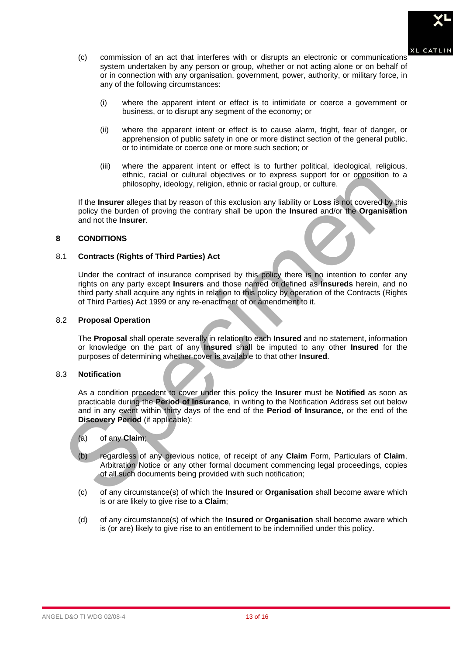

- (c) commission of an act that interferes with or disrupts an electronic or communications system undertaken by any person or group, whether or not acting alone or on behalf of or in connection with any organisation, government, power, authority, or military force, in any of the following circumstances:
	- (i) where the apparent intent or effect is to intimidate or coerce a government or business, or to disrupt any segment of the economy; or
	- (ii) where the apparent intent or effect is to cause alarm, fright, fear of danger, or apprehension of public safety in one or more distinct section of the general public, or to intimidate or coerce one or more such section; or
	- (iii) where the apparent intent or effect is to further political, ideological, religious, ethnic, racial or cultural objectives or to express support for or opposition to a philosophy, ideology, religion, ethnic or racial group, or culture.

If the **Insurer** alleges that by reason of this exclusion any liability or **Loss** is not covered by this policy the burden of proving the contrary shall be upon the **Insured** and/or the **Organisation** and not the **Insurer**.

# **8 CONDITIONS**

# 8.1 **Contracts (Rights of Third Parties) Act**

Under the contract of insurance comprised by this policy there is no intention to confer any rights on any party except **Insurers** and those named or defined as **Insureds** herein, and no third party shall acquire any rights in relation to this policy by operation of the Contracts (Rights of Third Parties) Act 1999 or any re-enactment of or amendment to it.

# 8.2 **Proposal Operation**

The **Proposal** shall operate severally in relation to each **Insured** and no statement, information or knowledge on the part of any **Insured** shall be imputed to any other **Insured** for the purposes of determining whether cover is available to that other **Insured**.

# 8.3 **Notification**

As a condition precedent to cover under this policy the **Insurer** must be **Notified** as soon as practicable during the **Period of Insurance**, in writing to the Notification Address set out below and in any event within thirty days of the end of the **Period of Insurance**, or the end of the **Discovery Period** (if applicable): entinic, racial or cotarium and belowithes or to express support for original philosophy, ideology, religion, ethnic or racial group, or culture.<br>
If the Insurer alleges that by reason of this exclusion any liability or Lo

# (a) of any **Claim**;

- (b) regardless of any previous notice, of receipt of any **Claim** Form, Particulars of **Claim**, Arbitration Notice or any other formal document commencing legal proceedings, copies of all such documents being provided with such notification;
- (c) of any circumstance(s) of which the **Insured** or **Organisation** shall become aware which is or are likely to give rise to a **Claim**;
- (d) of any circumstance(s) of which the **Insured** or **Organisation** shall become aware which is (or are) likely to give rise to an entitlement to be indemnified under this policy.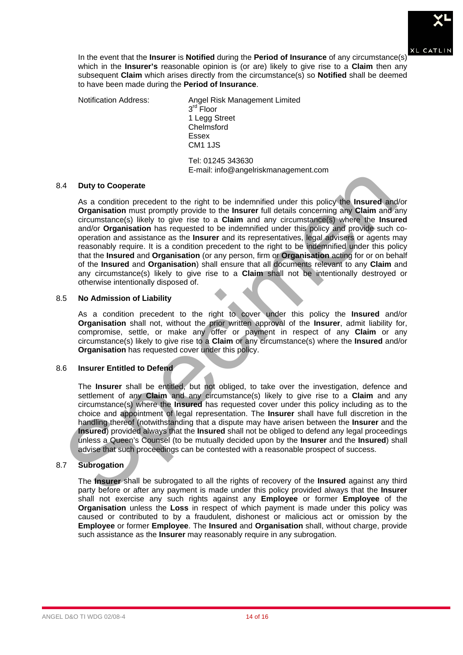

In the event that the **Insurer** is **Notified** during the **Period of Insurance** of any circumstance(s) which in the **Insurer's** reasonable opinion is (or are) likely to give rise to a **Claim** then any subsequent **Claim** which arises directly from the circumstance(s) so **Notified** shall be deemed to have been made during the **Period of Insurance**.

Notification Address: Angel Risk Management Limited  $3<sup>rd</sup>$  Floor 1 Legg Street Chelmsford Essex CM1 1JS

Tel: 01245 343630 E-mail: info@angelriskmanagement.com

# 8.4 **Duty to Cooperate**

As a condition precedent to the right to be indemnified under this policy the **Insured** and/or **Organisation** must promptly provide to the **Insurer** full details concerning any **Claim** and any circumstance(s) likely to give rise to a **Claim** and any circumstance(s) where the **Insured** and/or **Organisation** has requested to be indemnified under this policy and provide such cooperation and assistance as the **Insurer** and its representatives, legal advisers or agents may reasonably require. It is a condition precedent to the right to be indemnified under this policy that the **Insured** and **Organisation** (or any person, firm or **Organisation** acting for or on behalf of the **Insured** and **Organisation**) shall ensure that all documents relevant to any **Claim** and any circumstance(s) likely to give rise to a **Claim** shall not be intentionally destroyed or otherwise intentionally disposed of. 4 Duty to Cooperate<br>
As a condition precedent to the right to be indemnified under this policy the Insured and<br>
Organisation must promptly provide to the Insure full delais concerning any Claim and<br>
oriconstance(s) likely

# 8.5 **No Admission of Liability**

As a condition precedent to the right to cover under this policy the **Insured** and/or **Organisation** shall not, without the prior written approval of the **Insurer**, admit liability for, compromise, settle, or make any offer or payment in respect of any **Claim** or any circumstance(s) likely to give rise to a **Claim** or any circumstance(s) where the **Insured** and/or **Organisation** has requested cover under this policy.

# 8.6 **Insurer Entitled to Defend**

The **Insurer** shall be entitled, but not obliged, to take over the investigation, defence and settlement of any **Claim** and any circumstance(s) likely to give rise to a **Claim** and any circumstance(s) where the **Insured** has requested cover under this policy including as to the choice and appointment of legal representation. The **Insurer** shall have full discretion in the handling thereof (notwithstanding that a dispute may have arisen between the **Insurer** and the **Insured**) provided always that the **Insured** shall not be obliged to defend any legal proceedings unless a Queen's Counsel (to be mutually decided upon by the **Insurer** and the **Insured**) shall advise that such proceedings can be contested with a reasonable prospect of success.

# 8.7 **Subrogation**

The **Insurer** shall be subrogated to all the rights of recovery of the **Insured** against any third party before or after any payment is made under this policy provided always that the **Insurer** shall not exercise any such rights against any **Employee** or former **Employee** of the **Organisation** unless the **Loss** in respect of which payment is made under this policy was caused or contributed to by a fraudulent, dishonest or malicious act or omission by the **Employee** or former **Employee**. The **Insured** and **Organisation** shall, without charge, provide such assistance as the **Insurer** may reasonably require in any subrogation.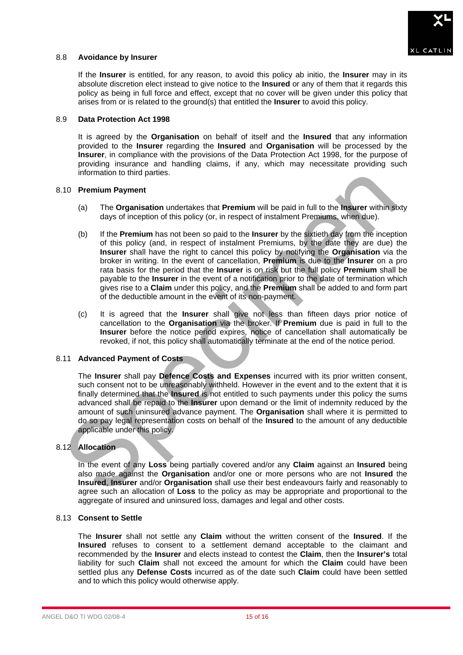

## 8.8 **Avoidance by Insurer**

If the **Insurer** is entitled, for any reason, to avoid this policy ab initio, the **Insurer** may in its absolute discretion elect instead to give notice to the **Insured** or any of them that it regards this policy as being in full force and effect, except that no cover will be given under this policy that arises from or is related to the ground(s) that entitled the **Insurer** to avoid this policy.

#### 8.9 **Data Protection Act 1998**

It is agreed by the **Organisation** on behalf of itself and the **Insured** that any information provided to the **Insurer** regarding the **Insured** and **Organisation** will be processed by the **Insurer**, in compliance with the provisions of the Data Protection Act 1998, for the purpose of providing insurance and handling claims, if any, which may necessitate providing such information to third parties.

#### 8.10 **Premium Payment**

- (a) The **Organisation** undertakes that **Premium** will be paid in full to the **Insurer** within sixty days of inception of this policy (or, in respect of instalment Premiums, when due).
- (b) If the **Premium** has not been so paid to the **Insurer** by the sixtieth day from the inception of this policy (and, in respect of instalment Premiums, by the date they are due) the **Insurer** shall have the right to cancel this policy by notifying the **Organisation** via the broker in writing. In the event of cancellation, **Premium** is due to the **Insurer** on a pro rata basis for the period that the **Insurer** is on risk but the full policy **Premium** shall be payable to the **Insurer** in the event of a notification prior to the date of termination which gives rise to a **Claim** under this policy, and the **Premium** shall be added to and form part of the deductible amount in the event of its non-payment. Information to that particles.<br>
(a) Tremium Payment and the Drenation undertakes that Premium will be paid in full to the **Insurer** within stray day of Inception of this policy (or, in respect of instalment Premiums, when
	- (c) It is agreed that the **Insurer** shall give not less than fifteen days prior notice of cancellation to the **Organisation** via the broker. If **Premium** due is paid in full to the **Insurer** before the notice period expires, notice of cancellation shall automatically be revoked, if not, this policy shall automatically terminate at the end of the notice period.

# 8.11 **Advanced Payment of Costs**

The **Insurer** shall pay **Defence Costs and Expenses** incurred with its prior written consent, such consent not to be unreasonably withheld. However in the event and to the extent that it is finally determined that the **Insured** is not entitled to such payments under this policy the sums advanced shall be repaid to the **Insurer** upon demand or the limit of indemnity reduced by the amount of such uninsured advance payment. The **Organisation** shall where it is permitted to do so pay legal representation costs on behalf of the **Insured** to the amount of any deductible applicable under this policy.

# 8.12 **Allocation**

In the event of any **Loss** being partially covered and/or any **Claim** against an **Insured** being also made against the **Organisation** and/or one or more persons who are not **Insured** the **Insured**, **Insurer** and/or **Organisation** shall use their best endeavours fairly and reasonably to agree such an allocation of **Loss** to the policy as may be appropriate and proportional to the aggregate of insured and uninsured loss, damages and legal and other costs.

# 8.13 **Consent to Settle**

The **Insurer** shall not settle any **Claim** without the written consent of the **Insured**. If the **Insured** refuses to consent to a settlement demand acceptable to the claimant and recommended by the **Insurer** and elects instead to contest the **Claim**, then the **Insurer's** total liability for such **Claim** shall not exceed the amount for which the **Claim** could have been settled plus any **Defense Costs** incurred as of the date such **Claim** could have been settled and to which this policy would otherwise apply.